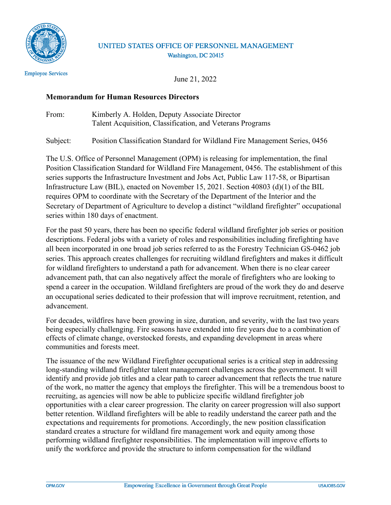

### UNITED STATES OFFICE OF PERSONNEL MANAGEMENT Washington, DC 20415

**Employee Services** 

June 21, 2022

### **Memorandum for Human Resources Directors**

From: Kimberly A. Holden, Deputy Associate Director Talent Acquisition, Classification, and Veterans Programs

Subject: Position Classification Standard for Wildland Fire Management Series, 0456

The U.S. Office of Personnel Management (OPM) is releasing for implementation, the final Position Classification Standard for Wildland Fire Management, 0456. The establishment of this series supports the Infrastructure Investment and Jobs Act, Public Law 117-58, or Bipartisan Infrastructure Law (BIL), enacted on November 15, 2021. Section 40803 (d)(1) of the BIL requires OPM to coordinate with the Secretary of the Department of the Interior and the Secretary of Department of Agriculture to develop a distinct "wildland firefighter" occupational series within 180 days of enactment.

 all been incorporated in one broad job series referred to as the Forestry Technician GS-0462 job advancement. For the past 50 years, there has been no specific federal wildland firefighter job series or position descriptions. Federal jobs with a variety of roles and responsibilities including firefighting have series. This approach creates challenges for recruiting wildland firefighters and makes it difficult for wildland firefighters to understand a path for advancement. When there is no clear career advancement path, that can also negatively affect the morale of firefighters who are looking to spend a career in the occupation. Wildland firefighters are proud of the work they do and deserve an occupational series dedicated to their profession that will improve recruitment, retention, and

For decades, wildfires have been growing in size, duration, and severity, with the last two years being especially challenging. Fire seasons have extended into fire years due to a combination of effects of climate change, overstocked forests, and expanding development in areas where communities and forests meet.

 identify and provide job titles and a clear path to career advancement that reflects the true nature unify the workforce and provide the structure to inform compensation for the wildland The issuance of the new Wildland Firefighter occupational series is a critical step in addressing long-standing wildland firefighter talent management challenges across the government. It will of the work, no matter the agency that employs the firefighter. This will be a tremendous boost to recruiting, as agencies will now be able to publicize specific wildland firefighter job opportunities with a clear career progression. The clarity on career progression will also support better retention. Wildland firefighters will be able to readily understand the career path and the expectations and requirements for promotions. Accordingly, the new position classification standard creates a structure for wildland fire management work and equity among those performing wildland firefighter responsibilities. The implementation will improve efforts to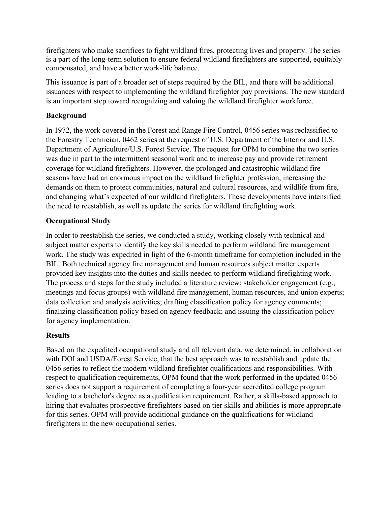firefighters who make sacrifices to fight wildland fires, protecting lives and property. The series is a part of the long-term solution to ensure federal wildland firefighters are supported, equitably compensated, and have a better work-life balance.

 This issuance is part of a broader set of steps required by the BIL, and there will be additional issuances with respect to implementing the wildland firefighter pay provisions. The new standard is an important step toward recognizing and valuing the wildland firefighter workforce.

## **Background**

 In 1972, the work covered in the Forest and Range Fire Control, 0456 series was reclassified to the Forestry Technician, 0462 series at the request of U.S. Department of the Interior and U.S. was due in part to the intermittent seasonal work and to increase pay and provide retirement coverage for wildland firefighters. However, the prolonged and catastrophic wildland fire Department of Agriculture/U.S. Forest Service. The request for OPM to combine the two series seasons have had an enormous impact on the wildland firefighter profession, increasing the demands on them to protect communities, natural and cultural resources, and wildlife from fire, and changing what's expected of our wildland firefighters. These developments have intensified the need to reestablish, as well as update the series for wildland firefighting work.

# **Occupational Study**

 In order to reestablish the series, we conducted a study, working closely with technical and subject matter experts to identify the key skills needed to perform wildland fire management work. The study was expedited in light of the 6-month timeframe for completion included in the BIL. Both technical agency fire management and human resources subject matter experts provided key insights into the duties and skills needed to perform wildland firefighting work. data collection and analysis activities; drafting classification policy for agency comments; finalizing classification policy based on agency feedback; and issuing the classification policy The process and steps for the study included a literature review; stakeholder engagement (e.g., meetings and focus groups) with wildland fire management, human resources, and union experts; for agency implementation.

## **Results**

 respect to qualification requirements, OPM found that the work performed in the updated 0456 series does not support a requirement of completing a four-year accredited college program for this series. OPM will provide additional guidance on the qualifications for wildland Based on the expedited occupational study and all relevant data, we determined, in collaboration with DOI and USDA/Forest Service, that the best approach was to reestablish and update the 0456 series to reflect the modern wildland firefighter qualifications and responsibilities. With leading to a bachelor's degree as a qualification requirement. Rather, a skills-based approach to hiring that evaluates prospective firefighters based on tier skills and abilities is more appropriate firefighters in the new occupational series.